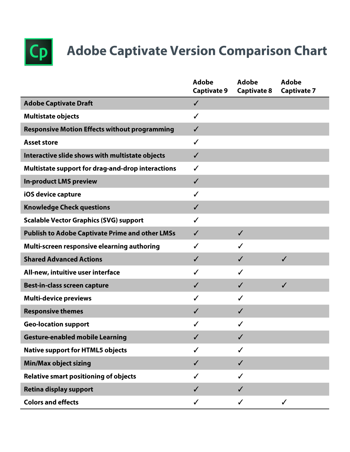

## **Adobe Captivate Version Comparison Chart**

|                                                        | <b>Adobe</b><br><b>Captivate 9</b> | Adobe<br><b>Captivate 8</b> | <b>Adobe</b><br><b>Captivate 7</b> |
|--------------------------------------------------------|------------------------------------|-----------------------------|------------------------------------|
| <b>Adobe Captivate Draft</b>                           | $\checkmark$                       |                             |                                    |
| <b>Multistate objects</b>                              | ✓                                  |                             |                                    |
| <b>Responsive Motion Effects without programming</b>   | ✓                                  |                             |                                    |
| <b>Asset store</b>                                     | ✓                                  |                             |                                    |
| Interactive slide shows with multistate objects        | ✓                                  |                             |                                    |
| Multistate support for drag-and-drop interactions      | ✓                                  |                             |                                    |
| <b>In-product LMS preview</b>                          | ✓                                  |                             |                                    |
| iOS device capture                                     | ✓                                  |                             |                                    |
| <b>Knowledge Check questions</b>                       | $\checkmark$                       |                             |                                    |
| <b>Scalable Vector Graphics (SVG) support</b>          | ✓                                  |                             |                                    |
| <b>Publish to Adobe Captivate Prime and other LMSs</b> | ✓                                  | $\checkmark$                |                                    |
| Multi-screen responsive elearning authoring            | ✓                                  |                             |                                    |
| <b>Shared Advanced Actions</b>                         | ✓                                  | ✔                           | $\checkmark$                       |
| All-new, intuitive user interface                      | ✓                                  | ✓                           |                                    |
| Best-in-class screen capture                           | ✓                                  | ✓                           | $\checkmark$                       |
| <b>Multi-device previews</b>                           | J                                  | ✓                           |                                    |
| <b>Responsive themes</b>                               | ✓                                  | ✓                           |                                    |
| <b>Geo-location support</b>                            | ✓                                  | ✓                           |                                    |
| <b>Gesture-enabled mobile Learning</b>                 | ✓                                  |                             |                                    |
| <b>Native support for HTML5 objects</b>                |                                    |                             |                                    |
| <b>Min/Max object sizing</b>                           | ✓                                  |                             |                                    |
| <b>Relative smart positioning of objects</b>           | ✓                                  |                             |                                    |
| <b>Retina display support</b>                          | ✓                                  |                             |                                    |
| <b>Colors and effects</b>                              | ✓                                  | ✓                           | $\checkmark$                       |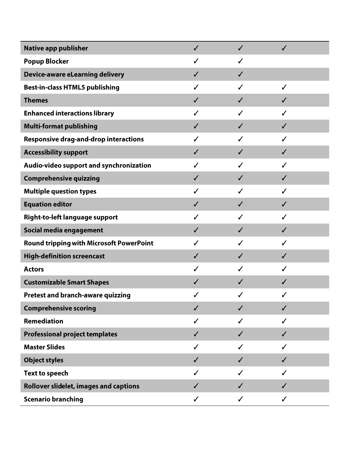| <b>Native app publisher</b>                     | $\checkmark$ |              | ✓            |  |
|-------------------------------------------------|--------------|--------------|--------------|--|
| <b>Popup Blocker</b>                            | ✓            | ✓            |              |  |
| <b>Device-aware eLearning delivery</b>          | $\checkmark$ | $\checkmark$ |              |  |
| <b>Best-in-class HTML5 publishing</b>           | ✓            |              | ✓            |  |
| <b>Themes</b>                                   | ✓            | ✓            | ✔            |  |
| <b>Enhanced interactions library</b>            | ✓            |              | ✔            |  |
| <b>Multi-format publishing</b>                  | ✓            | ✓            | J            |  |
| <b>Responsive drag-and-drop interactions</b>    | ✓            | ✓            | J            |  |
| <b>Accessibility support</b>                    | ✓            | ✓            | J            |  |
| Audio-video support and synchronization         | ✓            | ✔            | ✔            |  |
| <b>Comprehensive quizzing</b>                   | $\checkmark$ | ✓            | ✓            |  |
| <b>Multiple question types</b>                  | ✓            |              | ✓            |  |
| <b>Equation editor</b>                          | $\checkmark$ | $\checkmark$ | $\checkmark$ |  |
| Right-to-left language support                  | ✓            | ✔            | ✓            |  |
| Social media engagement                         | ✓            | J            | ✓            |  |
| <b>Round tripping with Microsoft PowerPoint</b> | ✓            |              | ✓            |  |
| <b>High-definition screencast</b>               | ✓            | ✓            | J            |  |
| <b>Actors</b>                                   | ✓            | ✓            | ✓            |  |
| <b>Customizable Smart Shapes</b>                | ✓            |              | ✔            |  |
| Pretest and branch-aware quizzing               |              | ✓            |              |  |
| <b>Comprehensive scoring</b>                    | ✓            |              |              |  |
| <b>Remediation</b>                              | ✓            |              |              |  |
| <b>Professional project templates</b>           | ✓            | ✓            | ✔            |  |
| <b>Master Slides</b>                            | ✓            | ✓            | ✔            |  |
| <b>Object styles</b>                            | $\checkmark$ | ✓            | ✓            |  |
| <b>Text to speech</b>                           | ✓            | ✓            | ✓            |  |
| <b>Rollover slidelet, images and captions</b>   | $\checkmark$ | $\checkmark$ | ✓            |  |
| <b>Scenario branching</b>                       | $\checkmark$ | $\checkmark$ | $\checkmark$ |  |